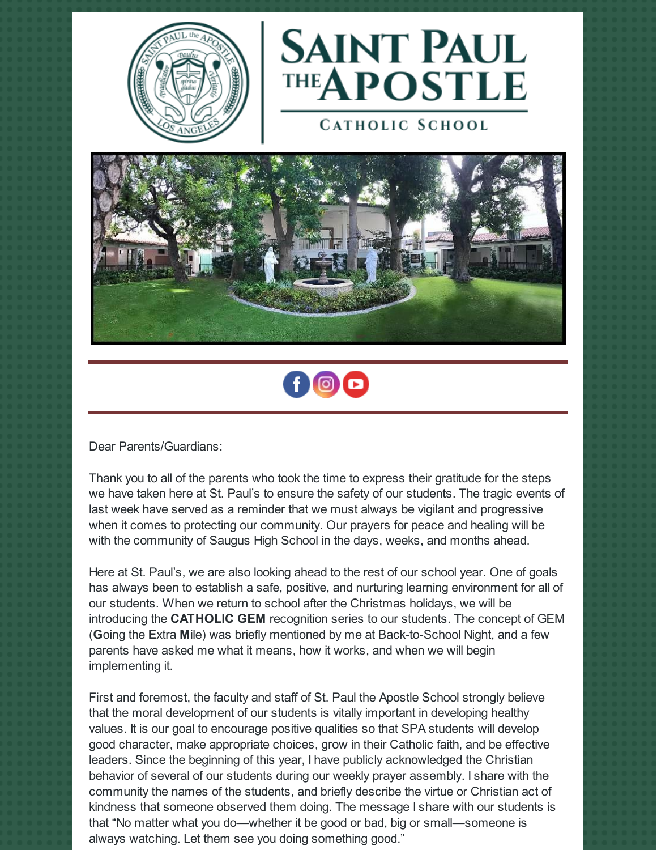



**CATHOLIC SCHOOL** 





Dear Parents/Guardians:

Thank you to all of the parents who took the time to express their gratitude for the steps we have taken here at St. Paul's to ensure the safety of our students. The tragic events of last week have served as a reminder that we must always be vigilant and progressive when it comes to protecting our community. Our prayers for peace and healing will be with the community of Saugus High School in the days, weeks, and months ahead.

Here at St. Paul's, we are also looking ahead to the rest of our school year. One of goals has always been to establish a safe, positive, and nurturing learning environment for all of our students. When we return to school after the Christmas holidays, we will be introducing the **CATHOLIC GEM** recognition series to our students. The concept of GEM (**G**oing the **E**xtra **M**ile) was briefly mentioned by me at Back-to-School Night, and a few parents have asked me what it means, how it works, and when we will begin implementing it.

First and foremost, the faculty and staff of St. Paul the Apostle School strongly believe that the moral development of our students is vitally important in developing healthy values. It is our goal to encourage positive qualities so that SPA students will develop good character, make appropriate choices, grow in their Catholic faith, and be effective leaders. Since the beginning of this year, I have publicly acknowledged the Christian behavior of several of our students during our weekly prayer assembly. I share with the community the names of the students, and briefly describe the virtue or Christian act of kindness that someone observed them doing. The message I share with our students is that "No matter what you do—whether it be good or bad, big or small—someone is always watching. Let them see you doing something good."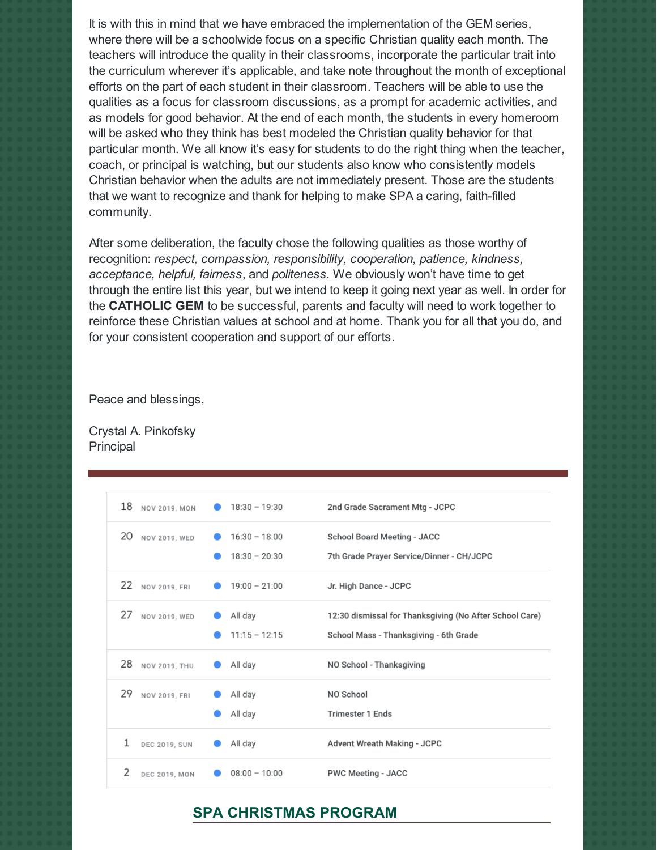It is with this in mind that we have embraced the implementation of the GEM series, where there will be a schoolwide focus on a specific Christian quality each month. The teachers will introduce the quality in their classrooms, incorporate the particular trait into the curriculum wherever it's applicable, and take note throughout the month of exceptional efforts on the part of each student in their classroom. Teachers will be able to use the qualities as a focus for classroom discussions, as a prompt for academic activities, and as models for good behavior. At the end of each month, the students in every homeroom will be asked who they think has best modeled the Christian quality behavior for that particular month. We all know it's easy for students to do the right thing when the teacher, coach, or principal is watching, but our students also know who consistently models Christian behavior when the adults are not immediately present. Those are the students that we want to recognize and thank for helping to make SPA a caring, faith-filled community.

After some deliberation, the faculty chose the following qualities as those worthy of recognition: *respect, compassion, responsibility, cooperation, patience, kindness, acceptance, helpful, fairness*, and *politeness*. We obviously won't have time to get through the entire list this year, but we intend to keep it going next year as well. In order for the **CATHOLIC GEM** to be successful, parents and faculty will need to work together to reinforce these Christian values at school and at home. Thank you for all that you do, and for your consistent cooperation and support of our efforts.

Peace and blessings,

Crystal A. Pinkofsky **Principal** 

| 18 NOV 2019, MON          | $18:30 - 19:30$ | 2nd Grade Sacrament Mtg - JCPC                          |
|---------------------------|-----------------|---------------------------------------------------------|
| 20 NOV 2019, WED          | $16:30 - 18:00$ | <b>School Board Meeting - JACC</b>                      |
|                           | $18:30 - 20:30$ | 7th Grade Prayer Service/Dinner - CH/JCPC               |
| 22 NOV 2019, FRI          | $19:00 - 21:00$ | Jr. High Dance - JCPC                                   |
| 27 NOV 2019, WED          | All day         | 12:30 dismissal for Thanksgiving (No After School Care) |
|                           | $11:15 - 12:15$ | School Mass - Thanksgiving - 6th Grade                  |
| 28 NOV 2019, THU          | All day         | NO School - Thanksgiving                                |
| 29<br>NOV 2019, FRI       | All day         | NO School                                               |
|                           | All day         | <b>Trimester 1 Ends</b>                                 |
| 1<br><b>DEC 2019, SUN</b> | All day         | Advent Wreath Making - JCPC                             |
| 2<br><b>DEC 2019, MON</b> | $08:00 - 10:00$ | <b>PWC Meeting - JACC</b>                               |

#### **SPA CHRISTMAS PROGRAM**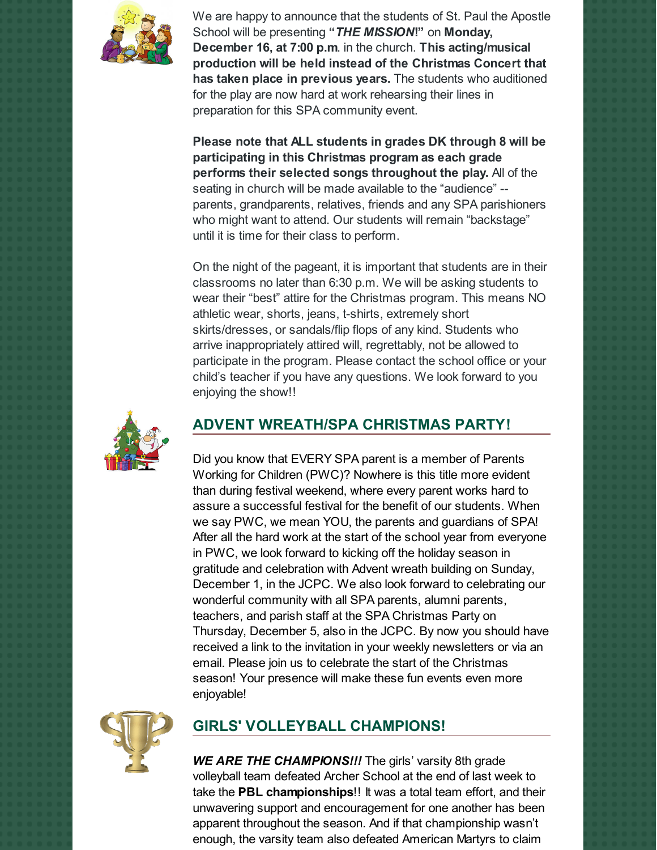

We are happy to announce that the students of St. Paul the Apostle School will be presenting **"***THE MISSION***!"** on **Monday, December 16, at 7:00 p.m**. in the church. **This acting/musical production will be held instead of the Christmas Concert that has taken place in previous years.** The students who auditioned for the play are now hard at work rehearsing their lines in preparation for this SPA community event.

**Please note that ALL students in grades DK through 8 will be participating in this Christmas program as each grade performs their selected songs throughout the play.** All of the seating in church will be made available to the "audience" - parents, grandparents, relatives, friends and any SPA parishioners who might want to attend. Our students will remain "backstage" until it is time for their class to perform.

On the night of the pageant, it is important that students are in their classrooms no later than 6:30 p.m. We will be asking students to wear their "best" attire for the Christmas program. This means NO athletic wear, shorts, jeans, t-shirts, extremely short skirts/dresses, or sandals/flip flops of any kind. Students who arrive inappropriately attired will, regrettably, not be allowed to participate in the program. Please contact the school office or your child's teacher if you have any questions. We look forward to you enjoying the show!!



# **ADVENT WREATH/SPA CHRISTMAS PARTY!**

Did you know that EVERY SPA parent is a member of Parents Working for Children (PWC)? Nowhere is this title more evident than during festival weekend, where every parent works hard to assure a successful festival for the benefit of our students. When we say PWC, we mean YOU, the parents and guardians of SPA! After all the hard work at the start of the school year from everyone in PWC, we look forward to kicking off the holiday season in gratitude and celebration with Advent wreath building on Sunday, December 1, in the JCPC. We also look forward to celebrating our wonderful community with all SPA parents, alumni parents, teachers, and parish staff at the SPA Christmas Party on Thursday, December 5, also in the JCPC. By now you should have received a link to the invitation in your weekly newsletters or via an email. Please join us to celebrate the start of the Christmas season! Your presence will make these fun events even more enjoyable!



# **GIRLS' VOLLEYBALL CHAMPIONS!**

*WE ARE THE CHAMPIONS!!!* The girls' varsity 8th grade volleyball team defeated Archer School at the end of last week to take the **PBL championships**!! It was a total team effort, and their unwavering support and encouragement for one another has been apparent throughout the season. And if that championship wasn't enough, the varsity team also defeated American Martyrs to claim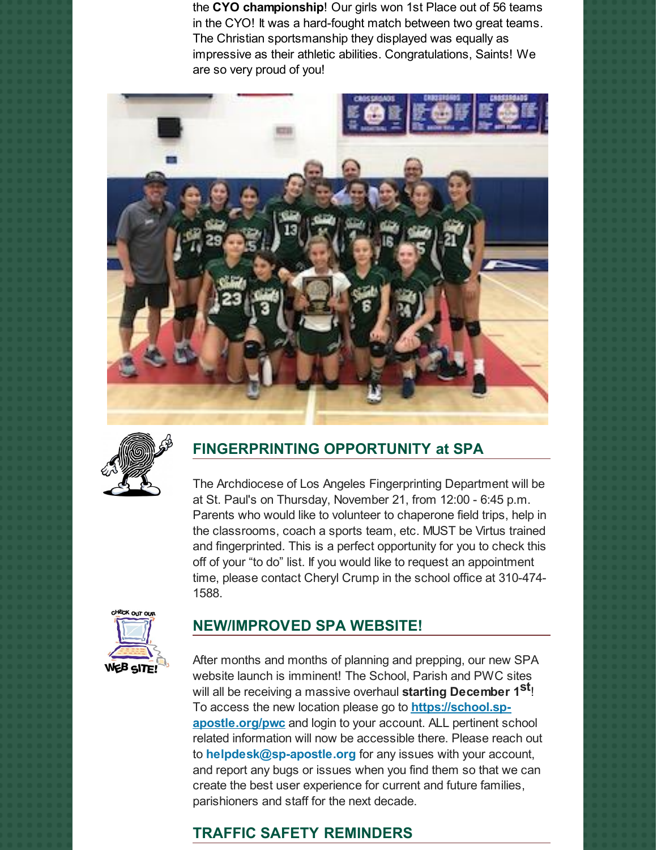the **CYO championship**! Our girls won 1st Place out of 56 teams in the CYO! It was a hard-fought match between two great teams. The Christian sportsmanship they displayed was equally as impressive as their athletic abilities. Congratulations, Saints! We are so very proud of you!





# **FINGERPRINTING OPPORTUNITY at SPA**

The Archdiocese of Los Angeles Fingerprinting Department will be at St. Paul's on Thursday, November 21, from 12:00 - 6:45 p.m. Parents who would like to volunteer to chaperone field trips, help in the classrooms, coach a sports team, etc. MUST be Virtus trained and fingerprinted. This is a perfect opportunity for you to check this off of your "to do" list. If you would like to request an appointment time, please contact Cheryl Crump in the school office at 310-474- 1588.



### **NEW/IMPROVED SPA WEBSITE!**

After months and months of planning and prepping, our new SPA website launch is imminent! The School, Parish and PWC sites will all be receiving a massive overhaul **starting December 1 st** ! To access the new location please go to **[https://school.sp](https://school.sp-apostle.org/pwc)apostle.org/pwc** and login to your account. ALL pertinent school related information will now be accessible there. Please reach out to **[helpdesk@sp-apostle.org](mailto:helpdesk@sp-apostle.org)** for any issues with your account, and report any bugs or issues when you find them so that we can create the best user experience for current and future families, parishioners and staff for the next decade.

# **TRAFFIC SAFETY REMINDERS**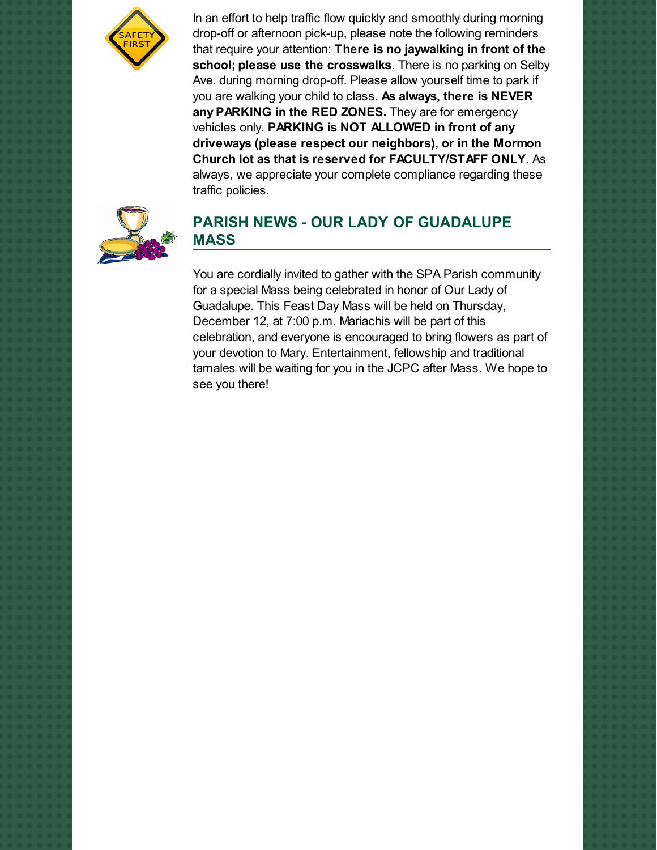

In an effort to help traffic flow quickly and smoothly during morning drop-off or afternoon pick-up, please note the following reminders that require your attention: **There is no jaywalking in front of the school; please use the crosswalks**. There is no parking on Selby Ave. during morning drop-off. Please allow yourself time to park if you are walking your child to class. **As always, there is NEVER any PARKING in the RED ZONES.** They are for emergency vehicles only. **PARKING is NOT ALLOWED in front of any driveways (please respect our neighbors), or in the Mormon Church lot as that is reserved for FACULTY/STAFF ONLY.** As always, we appreciate your complete compliance regarding these traffic policies.



#### **PARISH NEWS - OUR LADY OF GUADALUPE MASS**

You are cordially invited to gather with the SPA Parish community for a special Mass being celebrated in honor of Our Lady of Guadalupe. This Feast Day Mass will be held on Thursday, December 12, at 7:00 p.m. Mariachis will be part of this celebration, and everyone is encouraged to bring flowers as part of your devotion to Mary. Entertainment, fellowship and traditional tamales will be waiting for you in the JCPC after Mass. We hope to see you there!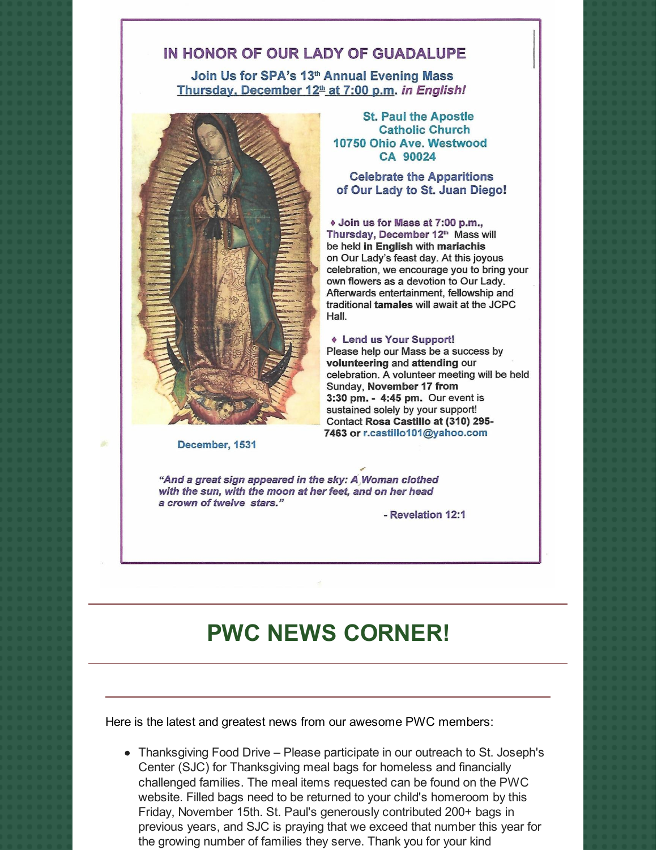#### IN HONOR OF OUR LADY OF GUADALUPE

Join Us for SPA's 13th Annual Evening Mass Thursday, December 12<sup>th</sup> at 7:00 p.m. in English!



December, 1531

**St. Paul the Apostle Catholic Church** 10750 Ohio Ave. Westwood CA 90024

**Celebrate the Apparitions** of Our Lady to St. Juan Diego!

♦ Join us for Mass at 7:00 p.m., Thursday, December 12th Mass will be held in English with mariachis on Our Lady's feast day. At this joyous celebration, we encourage you to bring your own flowers as a devotion to Our Lady. Afterwards entertainment, fellowship and traditional tamales will await at the JCPC Hall.

#### **Lend us Your Support!**

Please help our Mass be a success by volunteering and attending our celebration. A volunteer meeting will be held Sunday, November 17 from 3:30 pm. - 4:45 pm. Our event is sustained solely by your support! Contact Rosa Castillo at (310) 295-7463 or r.castillo101@yahoo.com

"And a great sign appeared in the sky: A Woman clothed with the sun, with the moon at her feet, and on her head a crown of twelve stars."

- Revelation 12:1

# **PWC NEWS CORNER!**

Here is the latest and greatest news from our awesome PWC members:

Thanksgiving Food Drive – Please participate in our outreach to St. Joseph's Center (SJC) for Thanksgiving meal bags for homeless and financially challenged families. The meal items requested can be found on the PWC website. Filled bags need to be returned to your child's homeroom by this Friday, November 15th. St. Paul's generously contributed 200+ bags in previous years, and SJC is praying that we exceed that number this year for the growing number of families they serve. Thank you for your kind